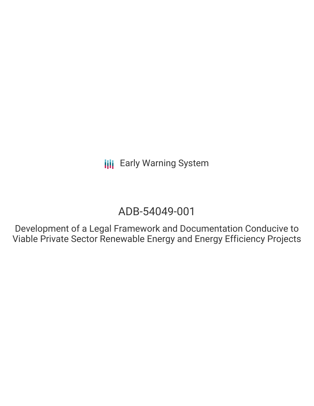# ADB-54049-001

Development of a Legal Framework and Documentation Conducive to Viable Private Sector Renewable Energy and Energy Efficiency Projects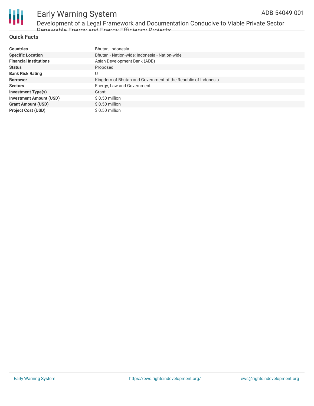

Development of a Legal Framework and Documentation Conducive to Viable Private Sector Renewable Energy and Energy Efficiency Projects

#### **Quick Facts**

| <b>Countries</b>               | Bhutan, Indonesia                                             |
|--------------------------------|---------------------------------------------------------------|
| <b>Specific Location</b>       | Bhutan - Nation-wide; Indonesia - Nation-wide                 |
| <b>Financial Institutions</b>  | Asian Development Bank (ADB)                                  |
| <b>Status</b>                  | Proposed                                                      |
| <b>Bank Risk Rating</b>        | U                                                             |
| <b>Borrower</b>                | Kingdom of Bhutan and Government of the Republic of Indonesia |
| <b>Sectors</b>                 | Energy, Law and Government                                    |
| <b>Investment Type(s)</b>      | Grant                                                         |
| <b>Investment Amount (USD)</b> | $$0.50$ million                                               |
| <b>Grant Amount (USD)</b>      | $$0.50$ million                                               |
| <b>Project Cost (USD)</b>      | $$0.50$ million                                               |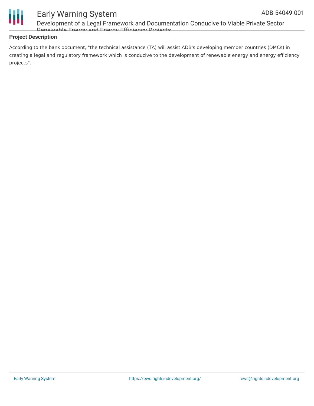

Development of a Legal Framework and Documentation Conducive to Viable Private Sector Panawable Energy and Energy Efficiency Projects

#### **Project Description**

According to the bank document, "the technical assistance (TA) will assist ADB's developing member countries (DMCs) in creating a legal and regulatory framework which is conducive to the development of renewable energy and energy efficiency projects".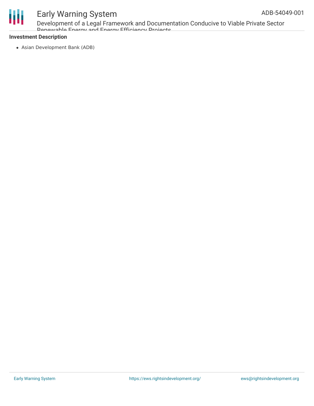

Development of a Legal Framework and Documentation Conducive to Viable Private Sector Ponowable Energy and Energy Efficiency Projects

#### **Investment Description**

Asian Development Bank (ADB)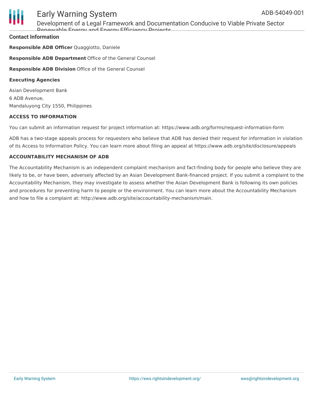

Development of a Legal Framework and Documentation Conducive to Viable Private Sector Ponowable Energy and Energy Efficiency Projects

#### **Contact Information**

**Responsible ADB Officer** Quaggiotto, Daniele **Responsible ADB Department** Office of the General Counsel **Responsible ADB Division** Office of the General Counsel **Executing Agencies**

Asian Development Bank 6 ADB Avenue, Mandaluyong City 1550, Philippines

#### **ACCESS TO INFORMATION**

You can submit an information request for project information at: https://www.adb.org/forms/request-information-form

ADB has a two-stage appeals process for requesters who believe that ADB has denied their request for information in violation of its Access to Information Policy. You can learn more about filing an appeal at https://www.adb.org/site/disclosure/appeals

#### **ACCOUNTABILITY MECHANISM OF ADB**

The Accountability Mechanism is an independent complaint mechanism and fact-finding body for people who believe they are likely to be, or have been, adversely affected by an Asian Development Bank-financed project. If you submit a complaint to the Accountability Mechanism, they may investigate to assess whether the Asian Development Bank is following its own policies and procedures for preventing harm to people or the environment. You can learn more about the Accountability Mechanism and how to file a complaint at: http://www.adb.org/site/accountability-mechanism/main.